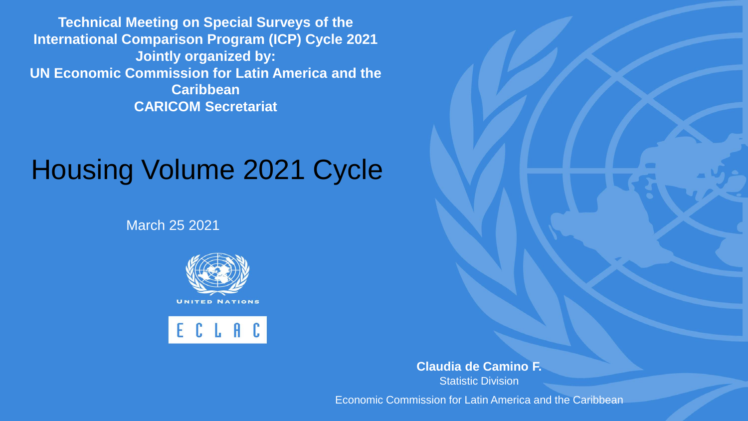**Technical Meeting on Special Surveys of the International Comparison Program (ICP) Cycle 2021 Jointly organized by: UN Economic Commission for Latin America and the Caribbean CARICOM Secretariat**

### Housing Volume 2021 Cycle

March 25 2021



ECLAC

**Claudia de Camino F. Statistic Division** 

Economic Commission for Latin America and the Caribbean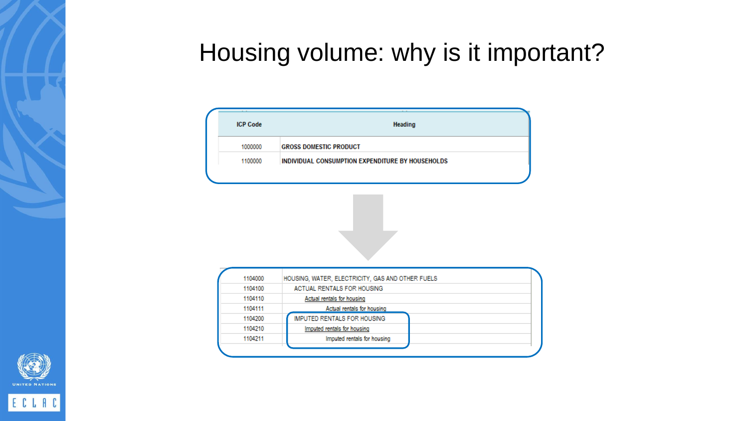#### Housing volume: why is it important?

| <b>ICP Code</b> | <b>Heading</b>                                   |
|-----------------|--------------------------------------------------|
| 1000000         | <b>GROSS DOMESTIC PRODUCT</b>                    |
| 1100000         | INDIVIDUAL CONSUMPTION EXPENDITURE BY HOUSEHOLDS |
|                 |                                                  |





ECLAC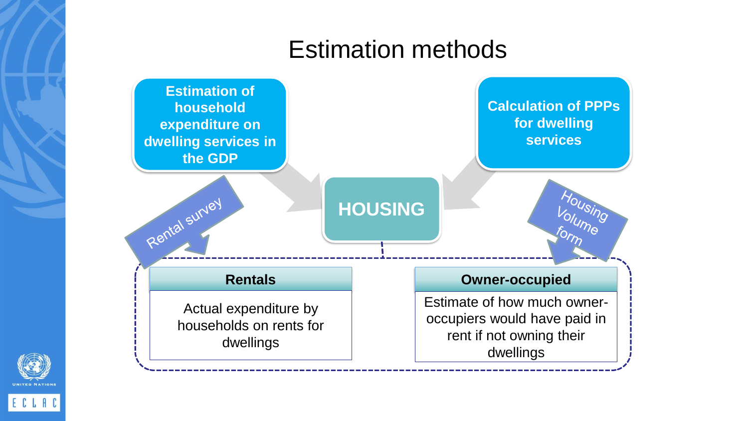#### Estimation methods





ECLAC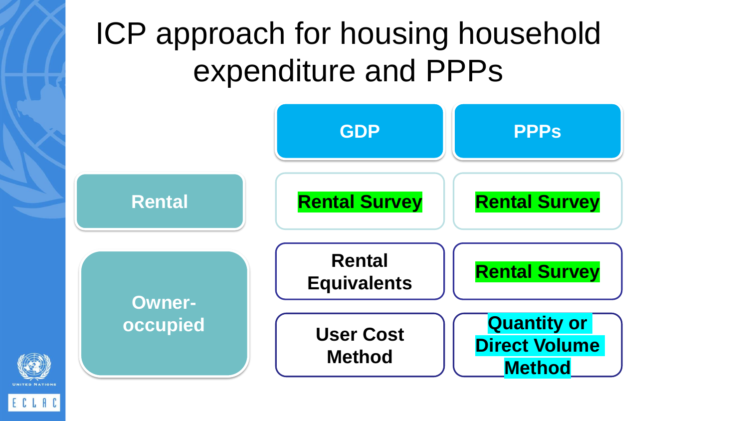## ICP approach for housing household expenditure and PPPs

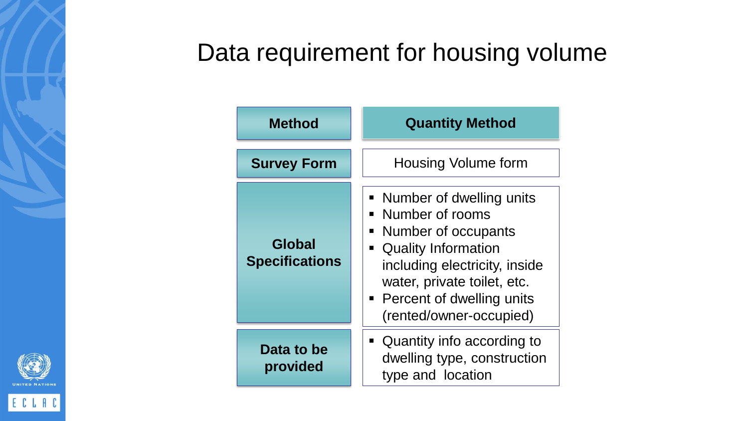#### Data requirement for housing volume

| <b>Method</b>                   | <b>Quantity Method</b>                                                                                                                                                                                                                                              |
|---------------------------------|---------------------------------------------------------------------------------------------------------------------------------------------------------------------------------------------------------------------------------------------------------------------|
| <b>Survey Form</b>              | <b>Housing Volume form</b>                                                                                                                                                                                                                                          |
| Global<br><b>Specifications</b> | Number of dwelling units<br>$\blacksquare$<br>Number of rooms<br>Number of occupants<br>п<br><b>Quality Information</b><br>$\blacksquare$<br>including electricity, inside<br>water, private toilet, etc.<br>• Percent of dwelling units<br>(rented/owner-occupied) |
| Data to be<br>provided          | Quantity info according to<br>$\blacksquare$<br>dwelling type, construction<br>type and location                                                                                                                                                                    |

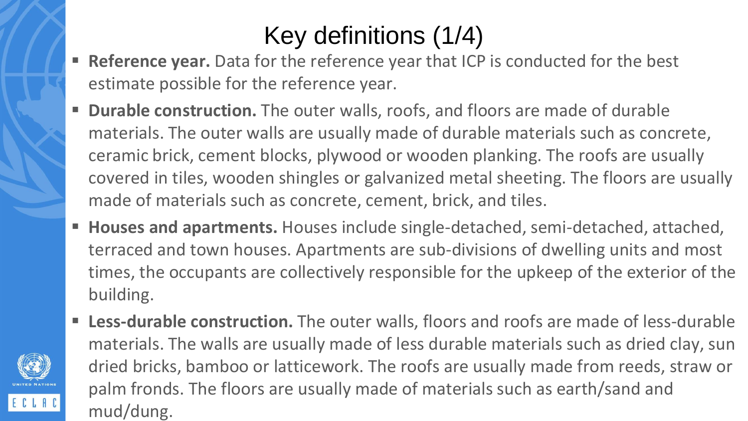#### Key definitions (1/4)

- **Reference year.** Data for the reference year that ICP is conducted for the best estimate possible for the reference year.
- **EXT Durable construction.** The outer walls, roofs, and floors are made of durable materials. The outer walls are usually made of durable materials such as concrete, ceramic brick, cement blocks, plywood or wooden planking. The roofs are usually covered in tiles, wooden shingles or galvanized metal sheeting. The floors are usually made of materials such as concrete, cement, brick, and tiles.
- **Houses and apartments.** Houses include single-detached, semi-detached, attached, terraced and town houses. Apartments are sub-divisions of dwelling units and most times, the occupants are collectively responsible for the upkeep of the exterior of the building.
- **EXELESS-durable construction.** The outer walls, floors and roofs are made of less-durable materials. The walls are usually made of less durable materials such as dried clay, sun dried bricks, bamboo or latticework. The roofs are usually made from reeds, straw or palm fronds. The floors are usually made of materials such as earth/sand and mud/dung.

ECLAC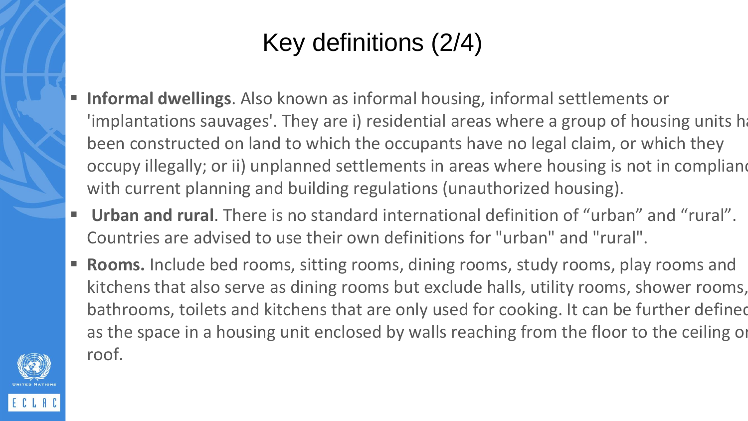#### Key definitions (2/4)

- **Informal dwellings**. Also known as informal housing, informal settlements or 'implantations sauvages'. They are i) residential areas where a group of housing units h been constructed on land to which the occupants have no legal claim, or which they occupy illegally; or ii) unplanned settlements in areas where housing is not in compliane with current planning and building regulations (unauthorized housing).
- **Urban and rural**. There is no standard international definition of "urban" and "rural". Countries are advised to use their own definitions for "urban" and "rural".
- **Rooms.** Include bed rooms, sitting rooms, dining rooms, study rooms, play rooms and kitchens that also serve as dining rooms but exclude halls, utility rooms, shower rooms, bathrooms, toilets and kitchens that are only used for cooking. It can be further defined as the space in a housing unit enclosed by walls reaching from the floor to the ceiling or roof.

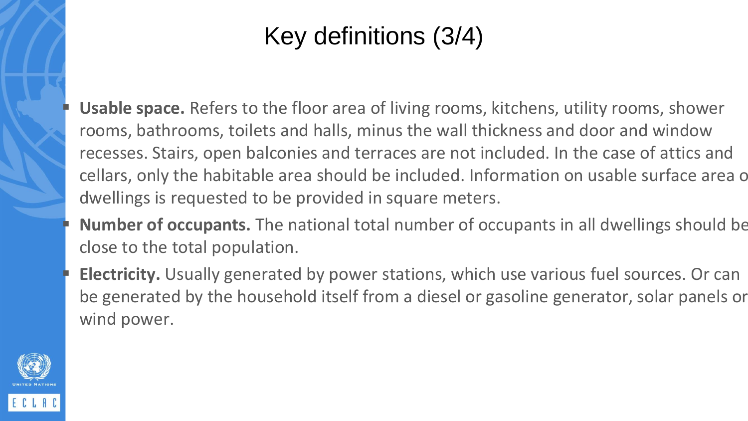#### Key definitions (3/4)

**Usable space.** Refers to the floor area of living rooms, kitchens, utility rooms, shower rooms, bathrooms, toilets and halls, minus the wall thickness and door and window recesses. Stairs, open balconies and terraces are not included. In the case of attics and cellars, only the habitable area should be included. Information on usable surface area of dwellings is requested to be provided in square meters.

- Number of occupants. The national total number of occupants in all dwellings should be close to the total population.
- **Electricity.** Usually generated by power stations, which use various fuel sources. Or can be generated by the household itself from a diesel or gasoline generator, solar panels or wind power.

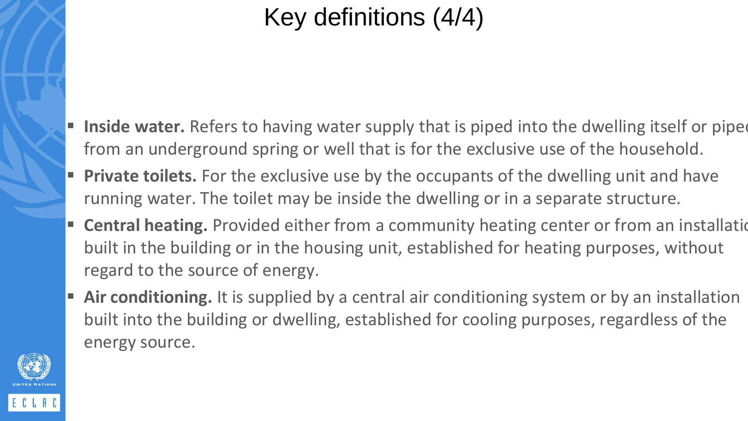#### Key definitions (4/4)

- **Inside water.** Refers to having water supply that is piped into the dwelling itself or piped from an underground spring or well that is for the exclusive use of the household.
- **Private toilets.** For the exclusive use by the occupants of the dwelling unit and have running water. The toilet may be inside the dwelling or in a separate structure.
- **Central heating.** Provided either from a community heating center or from an installation built in the building or in the housing unit, established for heating purposes, without regard to the source of energy.
- Air conditioning. It is supplied by a central air conditioning system or by an installation built into the building or dwelling, established for cooling purposes, regardless of the energy source.

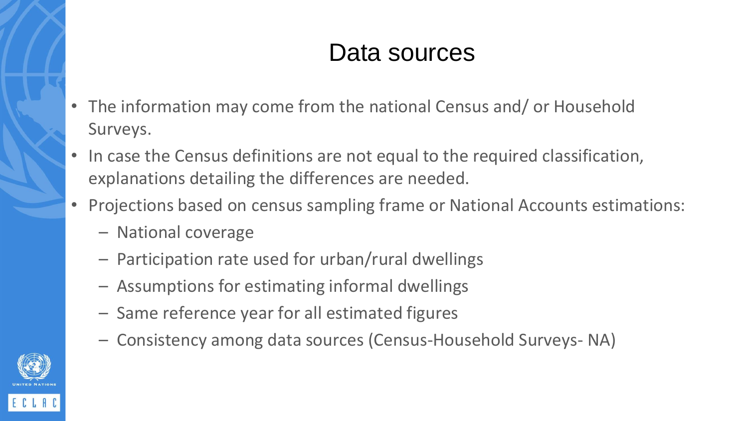#### Data sources

- The information may come from the national Census and/ or Household Surveys.
- In case the Census definitions are not equal to the required classification, explanations detailing the differences are needed.
- Projections based on census sampling frame or National Accounts estimations:
	- National coverage
	- Participation rate used for urban/rural dwellings
	- Assumptions for estimating informal dwellings
	- Same reference year for all estimated figures
	- Consistency among data sources (Census-Household Surveys- NA)

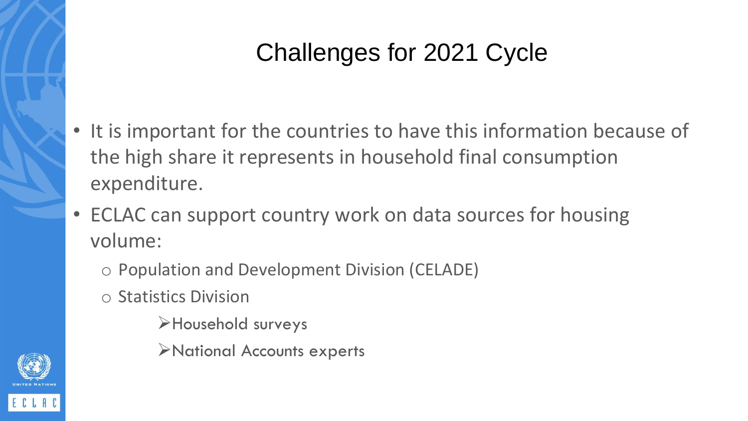#### Challenges for 2021 Cycle

- It is important for the countries to have this information because of the high share it represents in household final consumption expenditure.
- ECLAC can support country work on data sources for housing volume:
	- o Population and Development Division (CELADE)
	- o Statistics Division
		- ➢Household surveys
		- ➢National Accounts experts

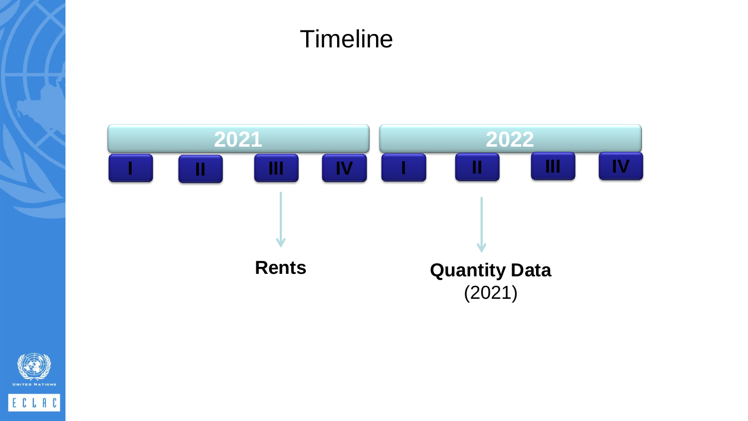# **Timeline 2021 2022 I II III IV Rents Quantity Data** (2021) **I II III IV**